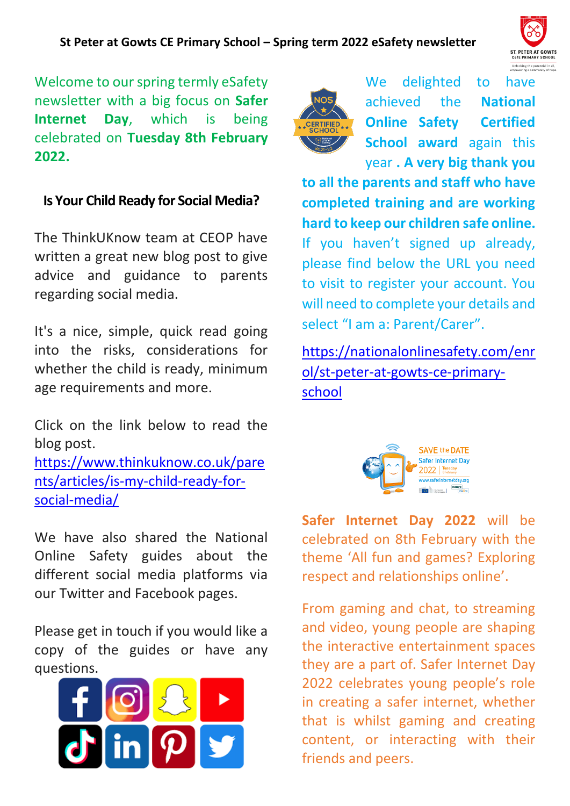

Welcome to our spring termly eSafety newsletter with a big focus on **Safer Internet Day**, which is being celebrated on **Tuesday 8th February 2022.**

## **Is Your Child Ready for Social Media?**

The ThinkUKnow team at CEOP have written a great new blog post to give advice and guidance to parents regarding social media.

It's a nice, simple, quick read going into the risks, considerations for whether the child is ready, minimum age requirements and more.

Click on the link below to read the blog post.

[https://www.thinkuknow.co.uk/pare](https://www.thinkuknow.co.uk/parents/articles/is-my-child-ready-for-social-media/) [nts/articles/is-my-child-ready-for](https://www.thinkuknow.co.uk/parents/articles/is-my-child-ready-for-social-media/)[social-media/](https://www.thinkuknow.co.uk/parents/articles/is-my-child-ready-for-social-media/)

We have also shared the National Online Safety guides about the different social media platforms via our Twitter and Facebook pages.

Please get in touch if you would like a copy of the guides or have any questions.





We delighted to have achieved the **National Online Safety Certified School award** again this year **. A very big thank you** 

**to all the parents and staff who have completed training and are working hard to keep our children safe online.**  If you haven't signed up already, please find below the URL you need to visit to register your account. You will need to complete your details and select "I am a: Parent/Carer".

[https://nationalonlinesafety.com/enr](https://nationalonlinesafety.com/enrol/st-peter-at-gowts-ce-primary-school) [ol/st-peter-at-gowts-ce-primary](https://nationalonlinesafety.com/enrol/st-peter-at-gowts-ce-primary-school)[school](https://nationalonlinesafety.com/enrol/st-peter-at-gowts-ce-primary-school)



**Safer Internet Day 2022** will be celebrated on 8th February with the theme 'All fun and games? Exploring respect and relationships online'.

From gaming and chat, to streaming and video, young people are shaping the interactive entertainment spaces they are a part of. Safer Internet Day 2022 celebrates young people's role in creating a safer internet, whether that is whilst gaming and creating content, or interacting with their friends and peers.